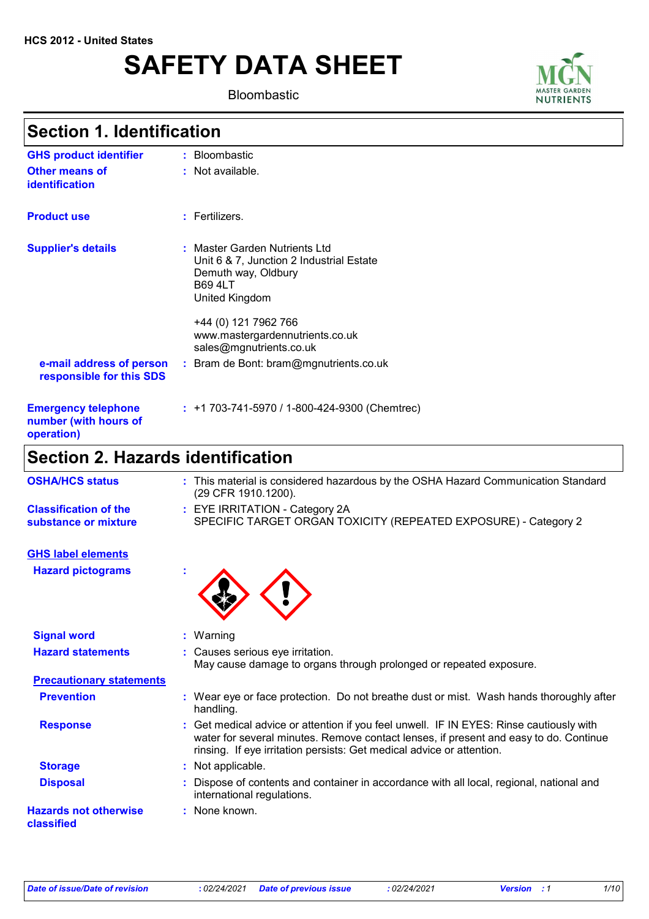# **SAFETY DATA SHEET**

Bloombastic



## **Section 1. Identification**

| <b>GHS product identifier</b>                                     | : Bloombastic                                                                                                                        |
|-------------------------------------------------------------------|--------------------------------------------------------------------------------------------------------------------------------------|
| <b>Other means of</b><br>identification                           | : Not available.                                                                                                                     |
| <b>Product use</b>                                                | $:$ Fertilizers.                                                                                                                     |
| <b>Supplier's details</b>                                         | : Master Garden Nutrients Ltd<br>Unit 6 & 7, Junction 2 Industrial Estate<br>Demuth way, Oldbury<br><b>B69 4LT</b><br>United Kingdom |
|                                                                   | +44 (0) 121 7962 766<br>www.mastergardennutrients.co.uk<br>sales@mgnutrients.co.uk                                                   |
| e-mail address of person<br>responsible for this SDS              | : Bram de Bont: bram@mgnutrients.co.uk                                                                                               |
| <b>Emergency telephone</b><br>number (with hours of<br>operation) | $: +1703-741-5970/1-800-424-9300$ (Chemtrec)                                                                                         |
| Caatian 2 Lla-arda idantifiaatian                                 |                                                                                                                                      |

### **Section 2. Hazards identification**

| <b>OSHA/HCS status</b>                               | : This material is considered hazardous by the OSHA Hazard Communication Standard<br>(29 CFR 1910.1200).                                                                                                                                                  |
|------------------------------------------------------|-----------------------------------------------------------------------------------------------------------------------------------------------------------------------------------------------------------------------------------------------------------|
| <b>Classification of the</b><br>substance or mixture | : EYE IRRITATION - Category 2A<br>SPECIFIC TARGET ORGAN TOXICITY (REPEATED EXPOSURE) - Category 2                                                                                                                                                         |
| <b>GHS label elements</b>                            |                                                                                                                                                                                                                                                           |
| <b>Hazard pictograms</b>                             |                                                                                                                                                                                                                                                           |
| <b>Signal word</b>                                   | : Warning                                                                                                                                                                                                                                                 |
| <b>Hazard statements</b>                             | : Causes serious eye irritation.<br>May cause damage to organs through prolonged or repeated exposure.                                                                                                                                                    |
| <b>Precautionary statements</b>                      |                                                                                                                                                                                                                                                           |
| <b>Prevention</b>                                    | : Wear eye or face protection. Do not breathe dust or mist. Wash hands thoroughly after<br>handling.                                                                                                                                                      |
| <b>Response</b>                                      | : Get medical advice or attention if you feel unwell. IF IN EYES: Rinse cautiously with<br>water for several minutes. Remove contact lenses, if present and easy to do. Continue<br>rinsing. If eye irritation persists: Get medical advice or attention. |
| <b>Storage</b>                                       | : Not applicable.                                                                                                                                                                                                                                         |
| <b>Disposal</b>                                      | Dispose of contents and container in accordance with all local, regional, national and<br>international regulations.                                                                                                                                      |
| <b>Hazards not otherwise</b><br>classified           | : None known.                                                                                                                                                                                                                                             |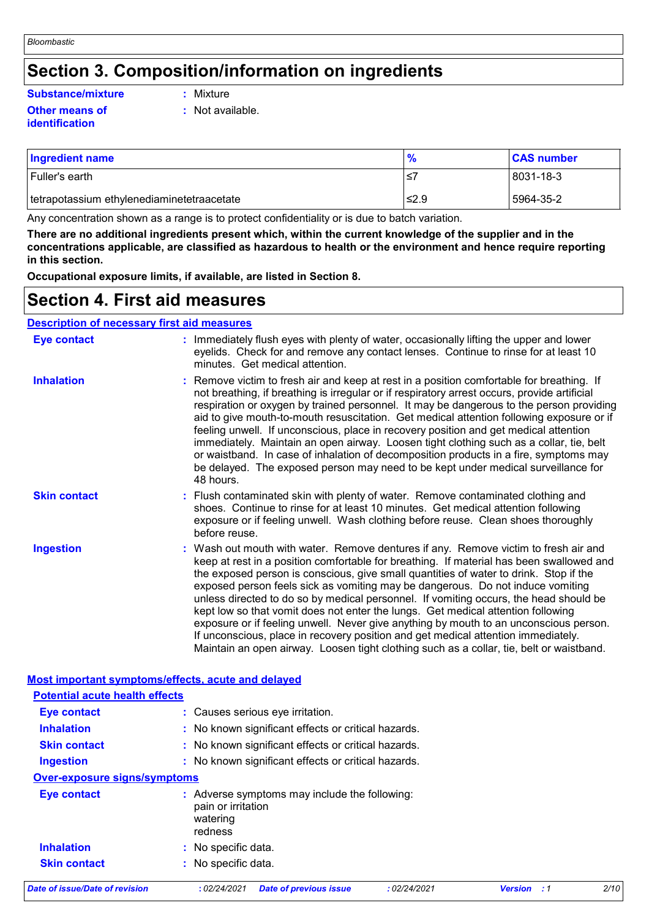### **Section 3. Composition/information on ingredients**

#### **Other means of Substance/mixture :**

### **identification**

- : Mixture
- **:** Not available.

| <b>Ingredient name</b>                      | $\frac{9}{6}$ | <b>CAS number</b> |
|---------------------------------------------|---------------|-------------------|
| Fuller's earth                              | ≤             | 8031-18-3         |
| Itetrapotassium ethylenediaminetetraacetate | ≤2.9          | 5964-35-2         |

Any concentration shown as a range is to protect confidentiality or is due to batch variation.

**There are no additional ingredients present which, within the current knowledge of the supplier and in the concentrations applicable, are classified as hazardous to health or the environment and hence require reporting in this section.**

**Occupational exposure limits, if available, are listed in Section 8.**

### **Section 4. First aid measures**

| <b>Description of necessary first aid measures</b> |                                                                                                                                                                                                                                                                                                                                                                                                                                                                                                                                                                                                                                                                                                                                                                                                                   |  |  |
|----------------------------------------------------|-------------------------------------------------------------------------------------------------------------------------------------------------------------------------------------------------------------------------------------------------------------------------------------------------------------------------------------------------------------------------------------------------------------------------------------------------------------------------------------------------------------------------------------------------------------------------------------------------------------------------------------------------------------------------------------------------------------------------------------------------------------------------------------------------------------------|--|--|
| <b>Eye contact</b>                                 | : Immediately flush eyes with plenty of water, occasionally lifting the upper and lower<br>eyelids. Check for and remove any contact lenses. Continue to rinse for at least 10<br>minutes. Get medical attention.                                                                                                                                                                                                                                                                                                                                                                                                                                                                                                                                                                                                 |  |  |
| <b>Inhalation</b>                                  | : Remove victim to fresh air and keep at rest in a position comfortable for breathing. If<br>not breathing, if breathing is irregular or if respiratory arrest occurs, provide artificial<br>respiration or oxygen by trained personnel. It may be dangerous to the person providing<br>aid to give mouth-to-mouth resuscitation. Get medical attention following exposure or if<br>feeling unwell. If unconscious, place in recovery position and get medical attention<br>immediately. Maintain an open airway. Loosen tight clothing such as a collar, tie, belt<br>or waistband. In case of inhalation of decomposition products in a fire, symptoms may<br>be delayed. The exposed person may need to be kept under medical surveillance for<br>48 hours.                                                    |  |  |
| <b>Skin contact</b>                                | : Flush contaminated skin with plenty of water. Remove contaminated clothing and<br>shoes. Continue to rinse for at least 10 minutes. Get medical attention following<br>exposure or if feeling unwell. Wash clothing before reuse. Clean shoes thoroughly<br>before reuse.                                                                                                                                                                                                                                                                                                                                                                                                                                                                                                                                       |  |  |
| <b>Ingestion</b>                                   | : Wash out mouth with water. Remove dentures if any. Remove victim to fresh air and<br>keep at rest in a position comfortable for breathing. If material has been swallowed and<br>the exposed person is conscious, give small quantities of water to drink. Stop if the<br>exposed person feels sick as vomiting may be dangerous. Do not induce vomiting<br>unless directed to do so by medical personnel. If vomiting occurs, the head should be<br>kept low so that vomit does not enter the lungs. Get medical attention following<br>exposure or if feeling unwell. Never give anything by mouth to an unconscious person.<br>If unconscious, place in recovery position and get medical attention immediately.<br>Maintain an open airway. Loosen tight clothing such as a collar, tie, belt or waistband. |  |  |

| Most important symptoms/effects, acute and delayed |                                                                                            |                       |      |  |  |  |  |
|----------------------------------------------------|--------------------------------------------------------------------------------------------|-----------------------|------|--|--|--|--|
| <b>Potential acute health effects</b>              |                                                                                            |                       |      |  |  |  |  |
| <b>Eye contact</b>                                 | : Causes serious eye irritation.                                                           |                       |      |  |  |  |  |
| <b>Inhalation</b>                                  | : No known significant effects or critical hazards.                                        |                       |      |  |  |  |  |
| <b>Skin contact</b>                                | : No known significant effects or critical hazards.                                        |                       |      |  |  |  |  |
| <b>Ingestion</b>                                   | : No known significant effects or critical hazards.                                        |                       |      |  |  |  |  |
|                                                    | <b>Over-exposure signs/symptoms</b>                                                        |                       |      |  |  |  |  |
| Eye contact                                        | : Adverse symptoms may include the following:<br>pain or irritation<br>watering<br>redness |                       |      |  |  |  |  |
| <b>Inhalation</b>                                  | : No specific data.                                                                        |                       |      |  |  |  |  |
| <b>Skin contact</b>                                | : No specific data.                                                                        |                       |      |  |  |  |  |
| Date of issue/Date of revision                     | : 02/24/2021<br><b>Date of previous issue</b><br>:02/24/2021                               | <b>Version</b><br>: 1 | 2/10 |  |  |  |  |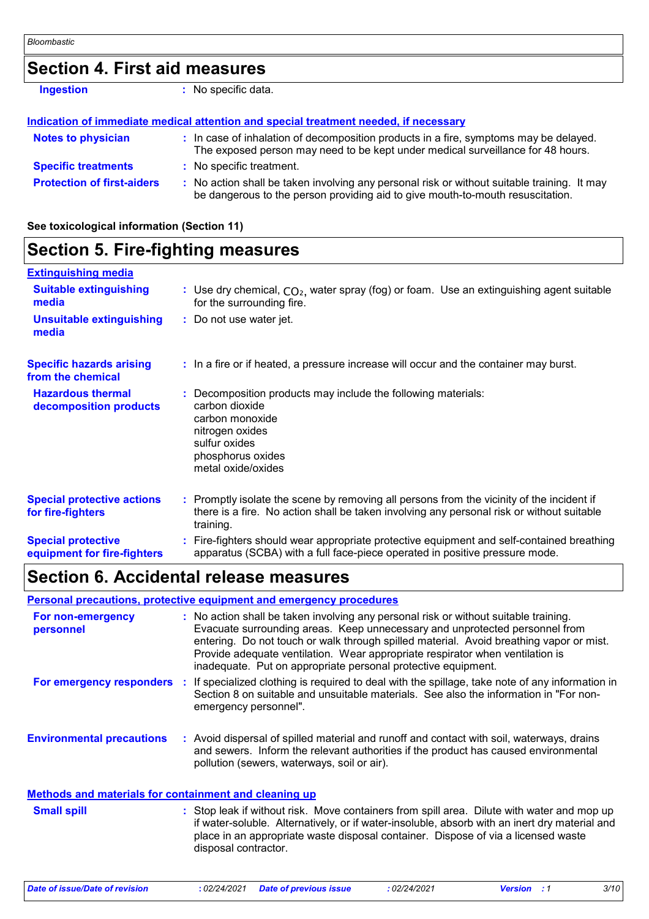### **Section 4. First aid measures**

**Ingestion :** No specific data.

|                                   | Indication of immediate medical attention and special treatment needed, if necessary                                                                                          |  |
|-----------------------------------|-------------------------------------------------------------------------------------------------------------------------------------------------------------------------------|--|
| <b>Notes to physician</b>         | : In case of inhalation of decomposition products in a fire, symptoms may be delayed.<br>The exposed person may need to be kept under medical surveillance for 48 hours.      |  |
| <b>Specific treatments</b>        | : No specific treatment.                                                                                                                                                      |  |
| <b>Protection of first-aiders</b> | : No action shall be taken involving any personal risk or without suitable training. It may<br>be dangerous to the person providing aid to give mouth-to-mouth resuscitation. |  |

**See toxicological information (Section 11)**

| <b>Section 5. Fire-fighting measures</b>                 |                                                                                                                                                                                                     |  |
|----------------------------------------------------------|-----------------------------------------------------------------------------------------------------------------------------------------------------------------------------------------------------|--|
| <b>Extinguishing media</b>                               |                                                                                                                                                                                                     |  |
| <b>Suitable extinguishing</b><br>media                   | : Use dry chemical, $CO2$ , water spray (fog) or foam. Use an extinguishing agent suitable<br>for the surrounding fire.                                                                             |  |
| <b>Unsuitable extinguishing</b><br>media                 | : Do not use water jet.                                                                                                                                                                             |  |
| <b>Specific hazards arising</b><br>from the chemical     | : In a fire or if heated, a pressure increase will occur and the container may burst.                                                                                                               |  |
| <b>Hazardous thermal</b><br>decomposition products       | Decomposition products may include the following materials:<br>carbon dioxide<br>carbon monoxide<br>nitrogen oxides<br>sulfur oxides<br>phosphorus oxides<br>metal oxide/oxides                     |  |
| <b>Special protective actions</b><br>for fire-fighters   | : Promptly isolate the scene by removing all persons from the vicinity of the incident if<br>there is a fire. No action shall be taken involving any personal risk or without suitable<br>training. |  |
| <b>Special protective</b><br>equipment for fire-fighters | Fire-fighters should wear appropriate protective equipment and self-contained breathing<br>apparatus (SCBA) with a full face-piece operated in positive pressure mode.                              |  |

### **Section 6. Accidental release measures**

#### **Personal precautions, protective equipment and emergency procedures**

| For non-emergency<br>personnel                               |  | : No action shall be taken involving any personal risk or without suitable training.<br>Evacuate surrounding areas. Keep unnecessary and unprotected personnel from<br>entering. Do not touch or walk through spilled material. Avoid breathing vapor or mist.<br>Provide adequate ventilation. Wear appropriate respirator when ventilation is<br>inadequate. Put on appropriate personal protective equipment. |
|--------------------------------------------------------------|--|------------------------------------------------------------------------------------------------------------------------------------------------------------------------------------------------------------------------------------------------------------------------------------------------------------------------------------------------------------------------------------------------------------------|
| For emergency responders                                     |  | If specialized clothing is required to deal with the spillage, take note of any information in<br>Section 8 on suitable and unsuitable materials. See also the information in "For non-<br>emergency personnel".                                                                                                                                                                                                 |
| <b>Environmental precautions</b>                             |  | : Avoid dispersal of spilled material and runoff and contact with soil, waterways, drains<br>and sewers. Inform the relevant authorities if the product has caused environmental<br>pollution (sewers, waterways, soil or air).                                                                                                                                                                                  |
| <b>Methods and materials for containment and cleaning up</b> |  |                                                                                                                                                                                                                                                                                                                                                                                                                  |
| <b>Small spill</b>                                           |  | : Stop leak if without risk. Move containers from spill area. Dilute with water and mop up<br>if water-soluble. Alternatively, or if water-insoluble, absorb with an inert dry material and<br>place in an appropriate waste disposal container. Dispose of via a licensed waste<br>disposal contractor.                                                                                                         |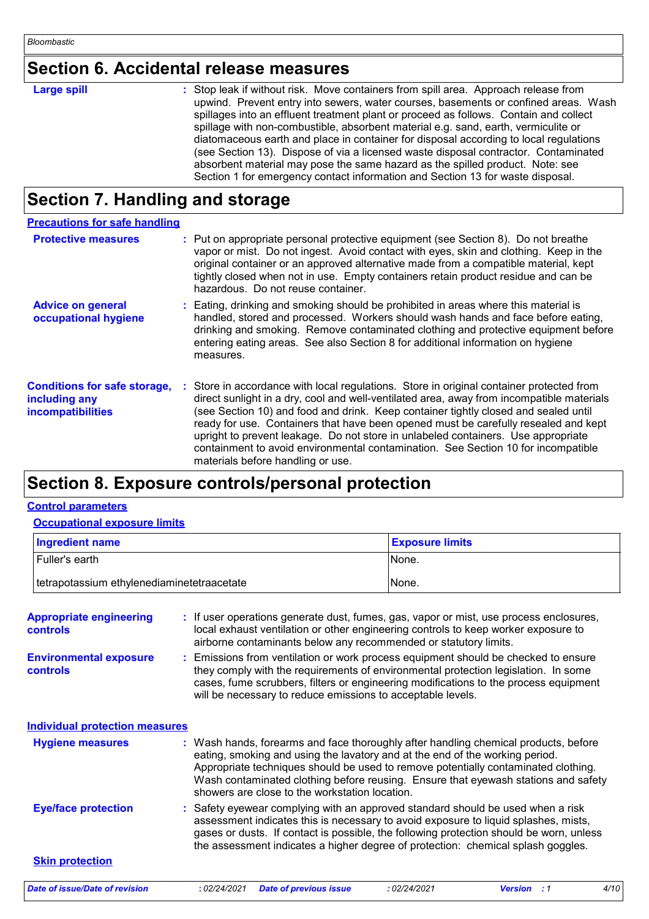## **Section 6. Accidental release measures**

| <b>Large spill</b> | : Stop leak if without risk. Move containers from spill area. Approach release from<br>upwind. Prevent entry into sewers, water courses, basements or confined areas. Wash<br>spillages into an effluent treatment plant or proceed as follows. Contain and collect<br>spillage with non-combustible, absorbent material e.g. sand, earth, vermiculite or<br>diatomaceous earth and place in container for disposal according to local regulations<br>(see Section 13). Dispose of via a licensed waste disposal contractor. Contaminated |
|--------------------|-------------------------------------------------------------------------------------------------------------------------------------------------------------------------------------------------------------------------------------------------------------------------------------------------------------------------------------------------------------------------------------------------------------------------------------------------------------------------------------------------------------------------------------------|
|                    | absorbent material may pose the same hazard as the spilled product. Note: see                                                                                                                                                                                                                                                                                                                                                                                                                                                             |
|                    | Section 1 for emergency contact information and Section 13 for waste disposal.                                                                                                                                                                                                                                                                                                                                                                                                                                                            |

### **Section 7. Handling and storage**

| <b>Precautions for safe handling</b>                                             |                                                                                                                                                                                                                                                                                                                                                                                                                                                                                                                                                                                    |
|----------------------------------------------------------------------------------|------------------------------------------------------------------------------------------------------------------------------------------------------------------------------------------------------------------------------------------------------------------------------------------------------------------------------------------------------------------------------------------------------------------------------------------------------------------------------------------------------------------------------------------------------------------------------------|
| <b>Protective measures</b>                                                       | : Put on appropriate personal protective equipment (see Section 8). Do not breathe<br>vapor or mist. Do not ingest. Avoid contact with eyes, skin and clothing. Keep in the<br>original container or an approved alternative made from a compatible material, kept<br>tightly closed when not in use. Empty containers retain product residue and can be<br>hazardous. Do not reuse container.                                                                                                                                                                                     |
| <b>Advice on general</b><br>occupational hygiene                                 | : Eating, drinking and smoking should be prohibited in areas where this material is<br>handled, stored and processed. Workers should wash hands and face before eating,<br>drinking and smoking. Remove contaminated clothing and protective equipment before<br>entering eating areas. See also Section 8 for additional information on hygiene<br>measures.                                                                                                                                                                                                                      |
| <b>Conditions for safe storage,</b><br>including any<br><i>incompatibilities</i> | : Store in accordance with local regulations. Store in original container protected from<br>direct sunlight in a dry, cool and well-ventilated area, away from incompatible materials<br>(see Section 10) and food and drink. Keep container tightly closed and sealed until<br>ready for use. Containers that have been opened must be carefully resealed and kept<br>upright to prevent leakage. Do not store in unlabeled containers. Use appropriate<br>containment to avoid environmental contamination. See Section 10 for incompatible<br>materials before handling or use. |

### **Section 8. Exposure controls/personal protection**

#### **Control parameters**

#### **Occupational exposure limits**

| <b>Ingredient name</b>                     | <b>Exposure limits</b> |
|--------------------------------------------|------------------------|
| Fuller's earth                             | None.                  |
| tetrapotassium ethylenediaminetetraacetate | None.                  |

| <b>Appropriate engineering</b><br><b>controls</b> | : If user operations generate dust, fumes, gas, vapor or mist, use process enclosures,<br>local exhaust ventilation or other engineering controls to keep worker exposure to<br>airborne contaminants below any recommended or statutory limits.                                                                                                                                                  |
|---------------------------------------------------|---------------------------------------------------------------------------------------------------------------------------------------------------------------------------------------------------------------------------------------------------------------------------------------------------------------------------------------------------------------------------------------------------|
| <b>Environmental exposure</b><br><b>controls</b>  | : Emissions from ventilation or work process equipment should be checked to ensure<br>they comply with the requirements of environmental protection legislation. In some<br>cases, fume scrubbers, filters or engineering modifications to the process equipment<br>will be necessary to reduce emissions to acceptable levels.                                                                   |
| <b>Individual protection measures</b>             |                                                                                                                                                                                                                                                                                                                                                                                                   |
| <b>Hygiene measures</b>                           | : Wash hands, forearms and face thoroughly after handling chemical products, before<br>eating, smoking and using the lavatory and at the end of the working period.<br>Appropriate techniques should be used to remove potentially contaminated clothing.<br>Wash contaminated clothing before reusing. Ensure that eyewash stations and safety<br>showers are close to the workstation location. |
| <b>Eye/face protection</b>                        | : Safety eyewear complying with an approved standard should be used when a risk<br>assessment indicates this is necessary to avoid exposure to liquid splashes, mists,<br>gases or dusts. If contact is possible, the following protection should be worn, unless<br>the assessment indicates a higher degree of protection: chemical splash goggles.                                             |
| <b>Skin protection</b>                            |                                                                                                                                                                                                                                                                                                                                                                                                   |
| <b>Date of issue/Date of revision</b>             | 4/10<br>: 02/24/2021<br><b>Date of previous issue</b><br>:02/24/2021<br><b>Version</b> : 1                                                                                                                                                                                                                                                                                                        |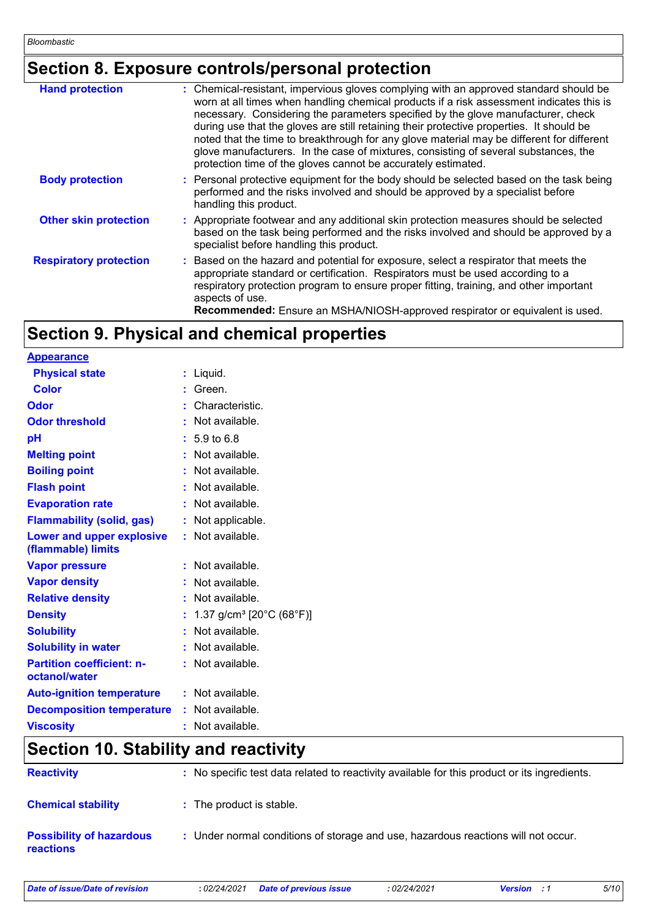## **Section 8. Exposure controls/personal protection**

| <b>Hand protection</b>        | : Chemical-resistant, impervious gloves complying with an approved standard should be<br>worn at all times when handling chemical products if a risk assessment indicates this is<br>necessary. Considering the parameters specified by the glove manufacturer, check<br>during use that the gloves are still retaining their protective properties. It should be<br>noted that the time to breakthrough for any glove material may be different for different<br>glove manufacturers. In the case of mixtures, consisting of several substances, the<br>protection time of the gloves cannot be accurately estimated. |
|-------------------------------|------------------------------------------------------------------------------------------------------------------------------------------------------------------------------------------------------------------------------------------------------------------------------------------------------------------------------------------------------------------------------------------------------------------------------------------------------------------------------------------------------------------------------------------------------------------------------------------------------------------------|
| <b>Body protection</b>        | : Personal protective equipment for the body should be selected based on the task being<br>performed and the risks involved and should be approved by a specialist before<br>handling this product.                                                                                                                                                                                                                                                                                                                                                                                                                    |
| <b>Other skin protection</b>  | : Appropriate footwear and any additional skin protection measures should be selected<br>based on the task being performed and the risks involved and should be approved by a<br>specialist before handling this product.                                                                                                                                                                                                                                                                                                                                                                                              |
| <b>Respiratory protection</b> | : Based on the hazard and potential for exposure, select a respirator that meets the<br>appropriate standard or certification. Respirators must be used according to a<br>respiratory protection program to ensure proper fitting, training, and other important<br>aspects of use.<br>Recommended: Ensure an MSHA/NIOSH-approved respirator or equivalent is used.                                                                                                                                                                                                                                                    |

## **Section 9. Physical and chemical properties**

| <b>Appearance</b>                                 |                                                            |
|---------------------------------------------------|------------------------------------------------------------|
| <b>Physical state</b>                             | $:$ Liquid.                                                |
| <b>Color</b>                                      | Green.                                                     |
| Odor                                              | Characteristic.                                            |
| <b>Odor threshold</b>                             | : Not available.                                           |
| pH                                                | $: 5.9 \text{ to } 6.8$                                    |
| <b>Melting point</b>                              | : Not available.                                           |
| <b>Boiling point</b>                              | : Not available.                                           |
| <b>Flash point</b>                                | : Not available.                                           |
| <b>Evaporation rate</b>                           | : Not available.                                           |
| <b>Flammability (solid, gas)</b>                  | : Not applicable.                                          |
| Lower and upper explosive<br>(flammable) limits   | : Not available.                                           |
| <b>Vapor pressure</b>                             | : Not available.                                           |
| <b>Vapor density</b>                              | : Not available.                                           |
| <b>Relative density</b>                           | : Not available.                                           |
| <b>Density</b>                                    | 1.37 g/cm <sup>3</sup> [20 $^{\circ}$ C (68 $^{\circ}$ F)] |
| <b>Solubility</b>                                 | Not available.                                             |
| <b>Solubility in water</b>                        | Not available.                                             |
| <b>Partition coefficient: n-</b><br>octanol/water | : Not available.                                           |
| <b>Auto-ignition temperature</b>                  | : Not available.                                           |
| <b>Decomposition temperature</b>                  | : Not available.                                           |
| <b>Viscosity</b>                                  | Not available.                                             |

### **Section 10. Stability and reactivity**

| <b>Reactivity</b>                                   | : No specific test data related to reactivity available for this product or its ingredients. |
|-----------------------------------------------------|----------------------------------------------------------------------------------------------|
| <b>Chemical stability</b>                           | : The product is stable.                                                                     |
| <b>Possibility of hazardous</b><br><b>reactions</b> | : Under normal conditions of storage and use, hazardous reactions will not occur.            |

*Date of issue/Date of revision* **:** *02/24/2021 Date of previous issue : 02/24/2021 Version : 1 5/10*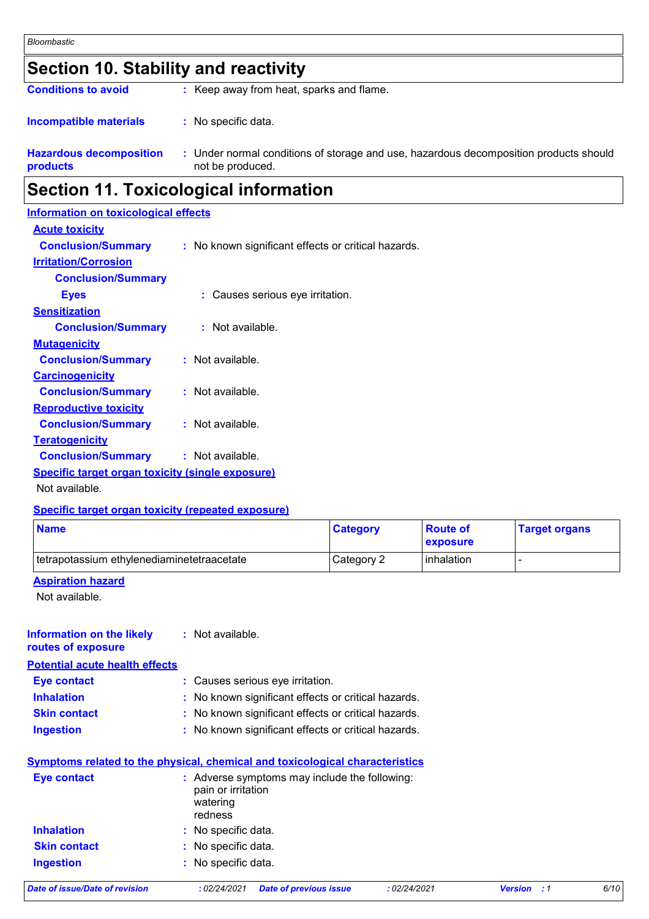### **Section 10. Stability and reactivity**

**Conditions to avoid** : Keep away from heat, sparks and flame.

#### : No specific data. **Incompatible materials :**

**Hazardous decomposition products** Under normal conditions of storage and use, hazardous decomposition products should **:** not be produced.

### **Section 11. Toxicological information**

| <b>Information on toxicological effects</b>      |                                                     |
|--------------------------------------------------|-----------------------------------------------------|
| <b>Acute toxicity</b>                            |                                                     |
| <b>Conclusion/Summary</b>                        | : No known significant effects or critical hazards. |
| <b>Irritation/Corrosion</b>                      |                                                     |
| <b>Conclusion/Summary</b>                        |                                                     |
| <b>Eyes</b>                                      | : Causes serious eye irritation.                    |
| <b>Sensitization</b>                             |                                                     |
| <b>Conclusion/Summary</b>                        | : Not available.                                    |
| <b>Mutagenicity</b>                              |                                                     |
| <b>Conclusion/Summary</b>                        | : Not available.                                    |
| <b>Carcinogenicity</b>                           |                                                     |
| <b>Conclusion/Summary</b>                        | : Not available.                                    |
| <b>Reproductive toxicity</b>                     |                                                     |
| <b>Conclusion/Summary</b>                        | $:$ Not available.                                  |
| <b>Teratogenicity</b>                            |                                                     |
| <b>Conclusion/Summary : Not available.</b>       |                                                     |
| Specific target organ toxicity (single exposure) |                                                     |

Not available.

#### **Specific target organ toxicity (repeated exposure)**

| <b>Name</b>                                | <b>Category</b> | <b>Route of</b><br><b>exposure</b> | <b>Target organs</b> |
|--------------------------------------------|-----------------|------------------------------------|----------------------|
| tetrapotassium ethylenediaminetetraacetate | Category 2      | inhalation                         |                      |

#### **Aspiration hazard**

Not available.

#### **Information on the likely routes of exposure :** Not available.

**Potential acute health effects**

| <b>Eye contact</b>  | : Causes serious eye irritation.                    |
|---------------------|-----------------------------------------------------|
| <b>Inhalation</b>   | : No known significant effects or critical hazards. |
| <b>Skin contact</b> | : No known significant effects or critical hazards. |
| <b>Ingestion</b>    | : No known significant effects or critical hazards. |

#### **Symptoms related to the physical, chemical and toxicological characteristics**

| <b>Eye contact</b>  | : Adverse symptoms may include the following:<br>pain or irritation<br>watering<br>redness |
|---------------------|--------------------------------------------------------------------------------------------|
| <b>Inhalation</b>   | : No specific data.                                                                        |
| <b>Skin contact</b> | : No specific data.                                                                        |
| <b>Ingestion</b>    | : No specific data.                                                                        |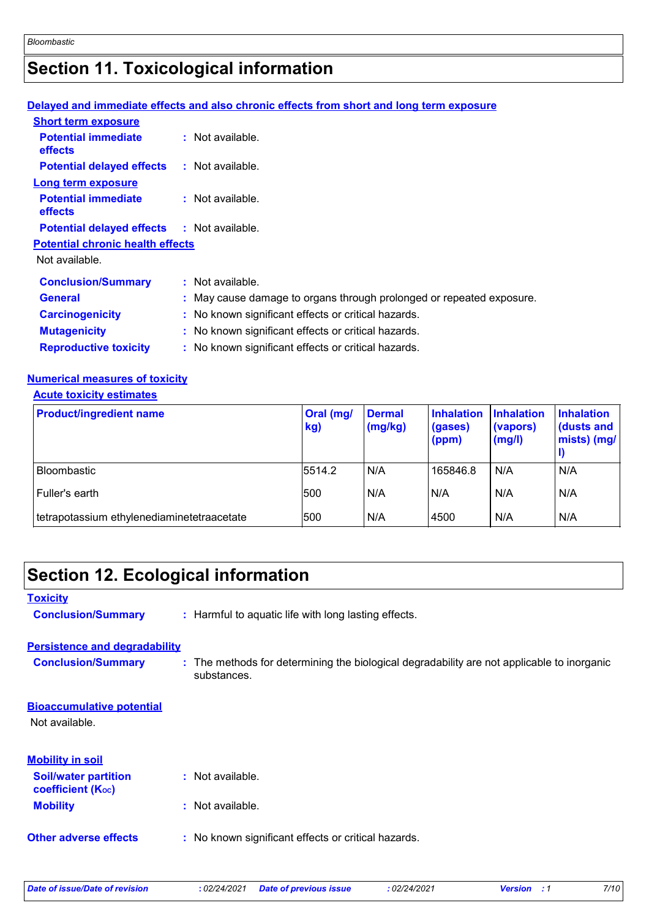# **Section 11. Toxicological information**

#### **Delayed and immediate effects and also chronic effects from short and long term exposure**

| <b>Short term exposure</b>                        |                                                                      |
|---------------------------------------------------|----------------------------------------------------------------------|
| <b>Potential immediate</b><br>effects             | : Not available.                                                     |
| <b>Potential delayed effects</b>                  | $\therefore$ Not available.                                          |
| Long term exposure                                |                                                                      |
| <b>Potential immediate</b><br>effects             | $:$ Not available.                                                   |
| <b>Potential delayed effects : Not available.</b> |                                                                      |
| <b>Potential chronic health effects</b>           |                                                                      |
| Not available.                                    |                                                                      |
| <b>Conclusion/Summary</b>                         | $:$ Not available.                                                   |
| <b>General</b>                                    | : May cause damage to organs through prolonged or repeated exposure. |
| <b>Carcinogenicity</b>                            | : No known significant effects or critical hazards.                  |
| <b>Mutagenicity</b>                               | : No known significant effects or critical hazards.                  |
| <b>Reproductive toxicity</b>                      | : No known significant effects or critical hazards.                  |

### **Numerical measures of toxicity**

#### **Acute toxicity estimates**

| <b>Product/ingredient name</b>             | Oral (mg/<br>kg) | <b>Dermal</b><br>(mg/kg) | <b>Inhalation</b><br>(gases)<br>(ppm) | <b>Inhalation</b><br>(vapors)<br>(mg/l) | <b>Inhalation</b><br>dusts and<br>mists) (mg/ |
|--------------------------------------------|------------------|--------------------------|---------------------------------------|-----------------------------------------|-----------------------------------------------|
| l Bloombastic                              | 5514.2           | N/A                      | 165846.8                              | N/A                                     | N/A                                           |
| Fuller's earth                             | 500              | N/A                      | N/A                                   | N/A                                     | N/A                                           |
| tetrapotassium ethylenediaminetetraacetate | 500              | N/A                      | 4500                                  | N/A                                     | N/A                                           |

| <b>Section 12. Ecological information</b>               |                                                                                                           |
|---------------------------------------------------------|-----------------------------------------------------------------------------------------------------------|
| <b>Toxicity</b>                                         |                                                                                                           |
| <b>Conclusion/Summary</b>                               | : Harmful to aquatic life with long lasting effects.                                                      |
| <b>Persistence and degradability</b>                    |                                                                                                           |
| <b>Conclusion/Summary</b>                               | : The methods for determining the biological degradability are not applicable to inorganic<br>substances. |
| <b>Bioaccumulative potential</b>                        |                                                                                                           |
| Not available.                                          |                                                                                                           |
| <b>Mobility in soil</b>                                 |                                                                                                           |
| <b>Soil/water partition</b><br><b>coefficient (Koc)</b> | : Not available.                                                                                          |
| <b>Mobility</b>                                         | : Not available.                                                                                          |
| <b>Other adverse effects</b>                            | : No known significant effects or critical hazards.                                                       |
|                                                         |                                                                                                           |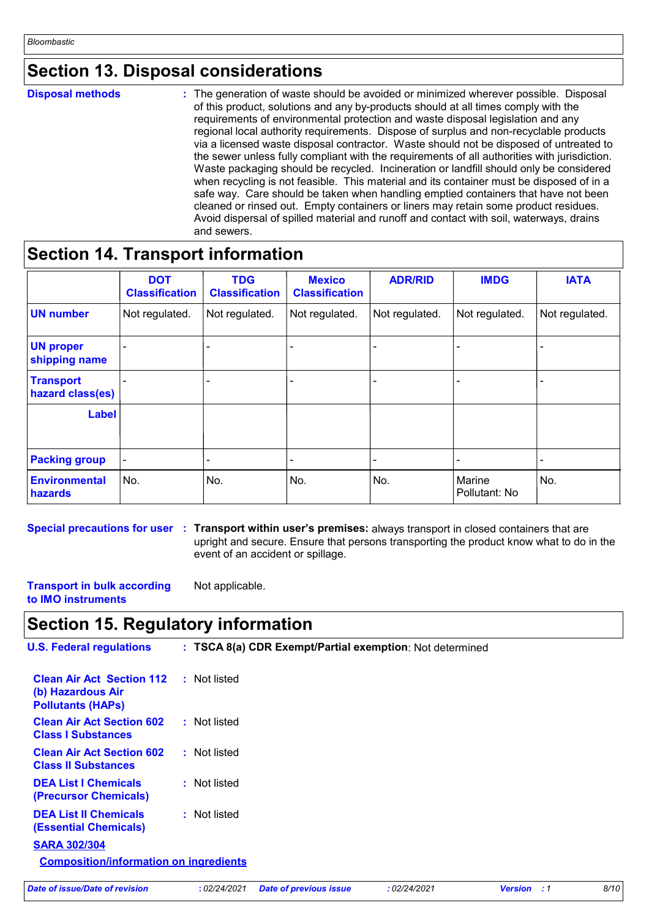### **Section 13. Disposal considerations**

**Disposal methods :**

The generation of waste should be avoided or minimized wherever possible. Disposal of this product, solutions and any by-products should at all times comply with the requirements of environmental protection and waste disposal legislation and any regional local authority requirements. Dispose of surplus and non-recyclable products via a licensed waste disposal contractor. Waste should not be disposed of untreated to the sewer unless fully compliant with the requirements of all authorities with jurisdiction. Waste packaging should be recycled. Incineration or landfill should only be considered when recycling is not feasible. This material and its container must be disposed of in a safe way. Care should be taken when handling emptied containers that have not been cleaned or rinsed out. Empty containers or liners may retain some product residues. Avoid dispersal of spilled material and runoff and contact with soil, waterways, drains and sewers.

### **Section 14. Transport information**

|                                      | <b>DOT</b><br><b>Classification</b> | <b>TDG</b><br><b>Classification</b> | <b>Mexico</b><br><b>Classification</b> | <b>ADR/RID</b> | <b>IMDG</b>             | <b>IATA</b>    |
|--------------------------------------|-------------------------------------|-------------------------------------|----------------------------------------|----------------|-------------------------|----------------|
| UN number                            | Not regulated.                      | Not regulated.                      | Not regulated.                         | Not regulated. | Not regulated.          | Not regulated. |
| <b>UN proper</b><br>shipping name    |                                     |                                     |                                        |                |                         |                |
| <b>Transport</b><br>hazard class(es) |                                     |                                     |                                        |                |                         |                |
| <b>Label</b>                         |                                     |                                     |                                        |                |                         |                |
| <b>Packing group</b>                 |                                     |                                     |                                        |                |                         | $\blacksquare$ |
| <b>Environmental</b><br>hazards      | No.                                 | No.                                 | No.                                    | No.            | Marine<br>Pollutant: No | No.            |

**Special precautions for user Transport within user's premises:** always transport in closed containers that are **:** upright and secure. Ensure that persons transporting the product know what to do in the event of an accident or spillage.

**Transport in bulk according to IMO instruments** Not applicable.

### **Section 15. Regulatory information**

| <b>U.S. Federal regulations</b>                                                   |              | : TSCA 8(a) CDR Exempt/Partial exemption: Not determined |              |                    |      |
|-----------------------------------------------------------------------------------|--------------|----------------------------------------------------------|--------------|--------------------|------|
| <b>Clean Air Act Section 112</b><br>(b) Hazardous Air<br><b>Pollutants (HAPS)</b> | : Not listed |                                                          |              |                    |      |
| <b>Clean Air Act Section 602</b><br><b>Class I Substances</b>                     | : Not listed |                                                          |              |                    |      |
| <b>Clean Air Act Section 602</b><br><b>Class II Substances</b>                    | : Not listed |                                                          |              |                    |      |
| <b>DEA List I Chemicals</b><br>(Precursor Chemicals)                              | : Not listed |                                                          |              |                    |      |
| <b>DEA List II Chemicals</b><br><b>(Essential Chemicals)</b>                      | : Not listed |                                                          |              |                    |      |
| <b>SARA 302/304</b>                                                               |              |                                                          |              |                    |      |
| <b>Composition/information on ingredients</b>                                     |              |                                                          |              |                    |      |
| Date of issue/Date of revision                                                    | : 02/24/2021 | <b>Date of previous issue</b>                            | : 02/24/2021 | <b>Version</b> : 1 | 8/10 |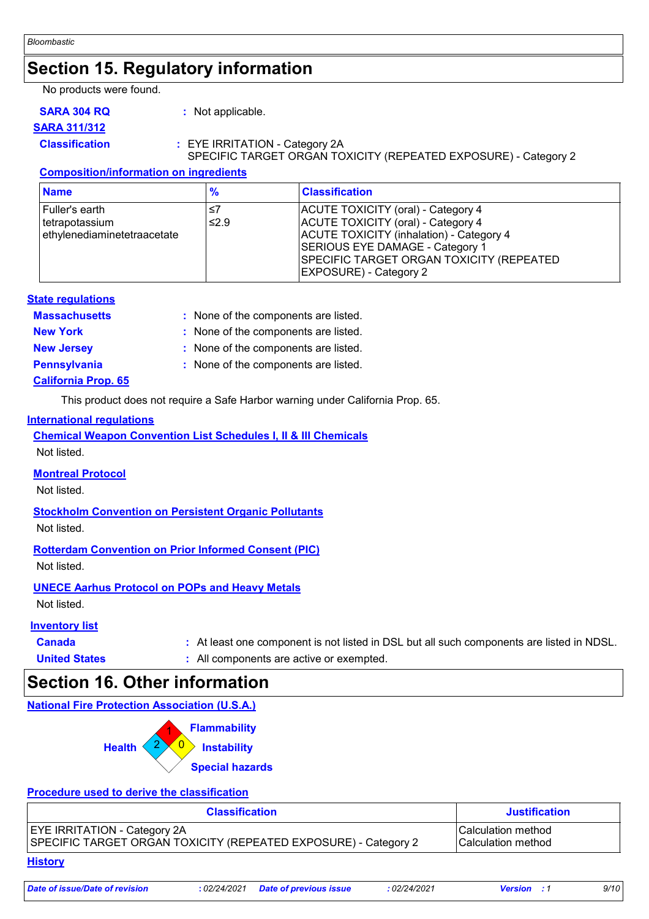### **Section 15. Regulatory information**

No products were found.

**SARA 304 RQ :** Not applicable.

### **SARA 311/312**

#### **Classification :** EYE IRRITATION - Category 2A SPECIFIC TARGET ORGAN TOXICITY (REPEATED EXPOSURE) - Category 2

#### **Composition/information on ingredients**

| <b>Name</b>                                                        | $\frac{9}{6}$ | <b>Classification</b>                                                                                                                                                                                                                       |
|--------------------------------------------------------------------|---------------|---------------------------------------------------------------------------------------------------------------------------------------------------------------------------------------------------------------------------------------------|
| l Fuller's earth<br>Itetrapotassium<br>ethylenediaminetetraacetate | ≤7<br>≤2.9    | ACUTE TOXICITY (oral) - Category 4<br>ACUTE TOXICITY (oral) - Category 4<br><b>ACUTE TOXICITY (inhalation) - Category 4</b><br>SERIOUS EYE DAMAGE - Category 1<br>SPECIFIC TARGET ORGAN TOXICITY (REPEATED<br><b>EXPOSURE) - Category 2</b> |

#### **State regulations**

| <b>Massachusetts</b> | : None of the components are listed. |
|----------------------|--------------------------------------|
| <b>New York</b>      | : None of the components are listed. |
| <b>New Jersey</b>    | : None of the components are listed. |
| <b>Pennsylvania</b>  | : None of the components are listed. |

#### **California Prop. 65**

This product does not require a Safe Harbor warning under California Prop. 65.

#### **International regulations**

**Chemical Weapon Convention List Schedules I, II & III Chemicals** Not listed.

#### **Montreal Protocol**

Not listed.

#### **Stockholm Convention on Persistent Organic Pollutants**

Not listed.

#### **Rotterdam Convention on Prior Informed Consent (PIC)**

Not listed.

#### **UNECE Aarhus Protocol on POPs and Heavy Metals**

Not listed.

#### **Inventory list**

**Canada 1998 • Canada 1998 • At least one component is not listed in DSL but all such components are listed in NDSL. United States :** All components are active or exempted.

### **Section 16. Other information**

#### **National Fire Protection Association (U.S.A.)**



#### **Procedure used to derive the classification**

| <b>Classification</b>                                           | <b>Justification</b>      |
|-----------------------------------------------------------------|---------------------------|
| <b>EYE IRRITATION - Category 2A</b>                             | <b>Calculation method</b> |
| SPECIFIC TARGET ORGAN TOXICITY (REPEATED EXPOSURE) - Category 2 | <b>Calculation method</b> |

#### **History**